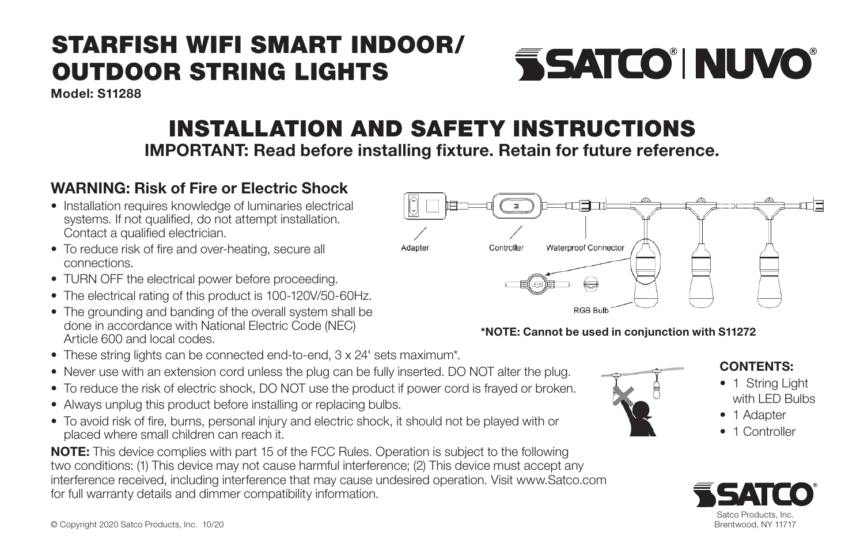# STARFISH WIFI SMART INDOOR/ OUTDOOR STRING LIGHTS

Model: S11288

# INSTALLATION AND SAFETY INSTRUCTIONS

IMPORTANT: Read before installing fixture. Retain for future reference.

### WARNING: Risk of Fire or Electric Shock

- Installation requires knowledge of luminaries electrical systems. If not qualified, do not attempt installation. Contact a qualified electrician.
- To reduce risk of fire and over-heating, secure all connections.
- TURN OFF the electrical power before proceeding.
- The electrical rating of this product is 100-120V/50-60Hz.
- The grounding and banding of the overall system shall be done in accordance with National Electric Code (NEC) Article 600 and local codes.
- These string lights can be connected end-to-end, 3 x 24' sets maximum\*.
- Never use with an extension cord unless the plug can be fully inserted. DO NOT alter the plug.
- To reduce the risk of electric shock, DO NOT use the product if power cord is frayed or broken.
- Always unplug this product before installing or replacing bulbs.
- To avoid risk of fire, burns, personal injury and electric shock, it should not be played with or placed where small children can reach it.

NOTE: This device complies with part 15 of the FCC Rules. Operation is subject to the following two conditions: (1) This device may not cause harmful interference; (2) This device must accept any interference received, including interference that may cause undesired operation. Visit www.Satco.com for full warranty details and dimmer compatibility information.



**SSATCO' NUVO** 

#### \*NOTE: Cannot be used in conjunction with S11272



#### CONTENTS:

- 1 String Light with LED Bulbs
- 1 Adapter
- **Controller**